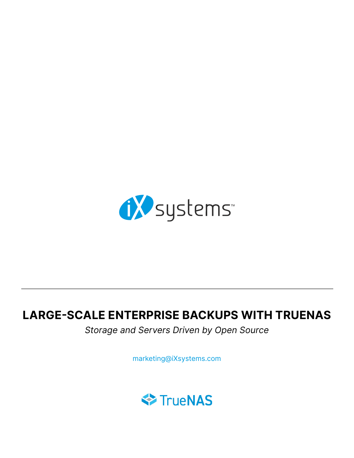

# LARGE-SCALE ENTERPRISE BACKUPS WITH TRUENAS

Storage and Servers Driven by Open Source

marketing@iXsystems.com

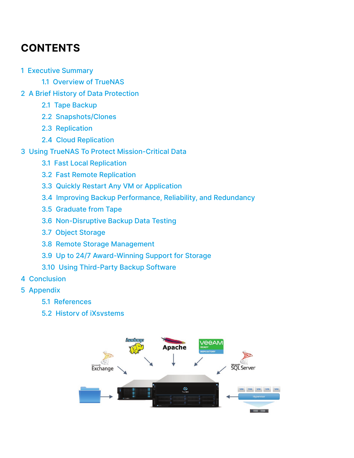# **CONTENTS**

- [1 Executive Summary](#page-2-0)
	- [1.1 Overview of TrueNAS](#page-2-0)
- [2 A Brief History of Data Protection](#page-3-0)
	- [2.1 Tape Backup](#page-3-0)
	- [2.2 Snapshots/Clones](#page-4-0)
	- [2.3 Replication](#page-5-0)
	- [2.4 Cloud Replication](#page-5-0)
- [3 Using TrueNAS To Protect Mission-Critical Data](#page-7-0)
	- [3.1 Fast Local Replication](#page-8-0)
	- [3.2 Fast Remote Replication](#page-9-0)
	- [3.3 Quickly Restart Any VM or Application](#page-9-0)
	- [3.4 Improving Backup Performance, Reliability, and Redundancy](#page-10-0)
	- [3.5 Graduate from Tape](#page-10-0)
	- [3.6 Non-Disruptive Backup Data Testing](#page-11-0)
	- 3.7 Object Storage
	- [3.8 Remote Storage Management](#page-11-0)
	- [3.9 Up to 24/7 Award-Winning Support for Storage](#page-11-0)
	- [3.10 Using Third-Party Backup Software](#page-11-0)
- [4 Conclusion](#page-13-0)
- [5 Appendix](#page-13-0)
	- [5.1 References](#page-13-0)
	- [5.2 History of iXsystems](#page-13-0)

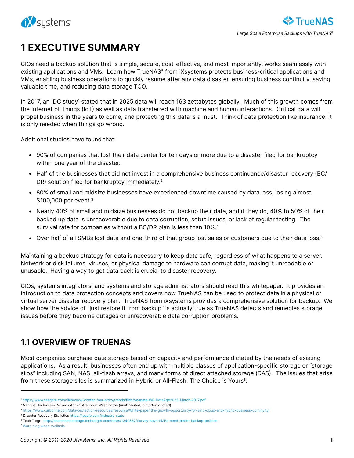<span id="page-2-0"></span>

# 1 EXECUTIVE SUMMARY

CIOs need a backup solution that is simple, secure, cost-effective, and most importantly, works seamlessly with existing applications and VMs. Learn how TrueNAS<sup>®</sup> from iXsystems protects business-critical applications and VMs, enabling business operations to quickly resume after any data disaster, ensuring business continuity, saving valuable time, and reducing data storage TCO.

In 2017, an IDC study<sup>1</sup> stated that in 2025 data will reach 163 zettabytes globally. Much of this growth comes from the Internet of Things (IoT) as well as data transferred with machine and human interactions. Critical data will propel business in the years to come, and protecting this data is a must. Think of data protection like insurance: it is only needed when things go wrong.

Additional studies have found that:

- 90% of companies that lost their data center for ten days or more due to a disaster filed for bankruptcy within one year of the disaster.
- Half of the businesses that did not invest in a comprehensive business continuance/disaster recovery (BC/ DR) solution filed for bankruptcy immediately.<sup>2</sup>
- 80% of small and midsize businesses have experienced downtime caused by data loss, losing almost \$100,000 per event.<sup>3</sup>
- Nearly 40% of small and midsize businesses do not backup their data, and if they do, 40% to 50% of their backed up data is unrecoverable due to data corruption, setup issues, or lack of regular testing. The survival rate for companies without a BC/DR plan is less than 10%.<sup>4</sup>
- Over half of all SMBs lost data and one-third of that group lost sales or customers due to their data loss.<sup>5</sup>

Maintaining a backup strategy for data is necessary to keep data safe, regardless of what happens to a server. Network or disk failures, viruses, or physical damage to hardware can corrupt data, making it unreadable or unusable. Having a way to get data back is crucial to disaster recovery.

CIOs, systems integrators, and systems and storage administrators should read this whitepaper. It provides an introduction to data protection concepts and covers how TrueNAS can be used to protect data in a physical or virtual server disaster recovery plan. TrueNAS from iXsystems provides a comprehensive solution for backup. We show how the advice of "just restore it from backup" is actually true as TrueNAS detects and remedies storage issues before they become outages or unrecoverable data corruption problems.

## 1.1 OVERVIEW OF TRUENAS

Most companies purchase data storage based on capacity and performance dictated by the needs of existing applications. As a result, businesses often end up with multiple classes of application-specific storage or "storage silos" including SAN, NAS, all-flash arrays, and many forms of direct attached storage (DAS). The issues that arise from these storage silos is summarized in Hybrid or All-Flash: The Choice is Yours<sup>6</sup>.

<sup>1</sup> <https://www.seagate.com/files/www-content/our-story/trends/files/Seagate-WP-DataAge2025-March-2017.pdf>

<sup>2</sup> National Archives & Records Administration in Washington (unattributed, but often quoted)

<sup>3</sup> <https://www.carbonite.com/data-protection-resources/resource/White-paper/the-growth-opportunity-for-smb-cloud-and-hybrid-business-continuity/>

<sup>4</sup> Disaster Recovery Statistics <https://iosafe.com/industry-stats>

<sup>5</sup> Tech Target<http://searchsmbstorage.techtarget.com/news/1340887/Survey-says-SMBs-need-better-backup-policies>

<sup>6</sup> Warp blog when available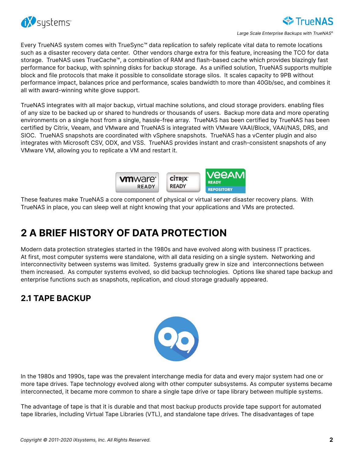<span id="page-3-0"></span>

Large Scale Enterprise Backups with TrueNAS<sup>®</sup>

**TrueNAS** 

Every TrueNAS system comes with TrueSync™ data replication to safely replicate vital data to remote locations such as a disaster recovery data center. Other vendors charge extra for this feature, increasing the TCO for data storage. TrueNAS uses TrueCache™, a combination of RAM and flash-based cache which provides blazingly fast performance for backup, with spinning disks for backup storage. As a unified solution, TrueNAS supports multiple block and file protocols that make it possible to consolidate storage silos. It scales capacity to 9PB without performance impact, balances price and performance, scales bandwidth to more than 40Gb/sec, and combines it all with award-winning white glove support.

TrueNAS integrates with all major backup, virtual machine solutions, and cloud storage providers. enabling files of any size to be backed up or shared to hundreds or thousands of users. Backup more data and more operating environments on a single host from a single, hassle-free array. TrueNAS has been certified by TrueNAS has been certified by Citrix, Veeam, and VMware and TrueNAS is integrated with VMware VAAI/Block, VAAI/NAS, DRS, and SIOC. TrueNAS snapshots are coordinated with vSphere snapshots. TrueNAS has a vCenter plugin and also integrates with Microsoft CSV, ODX, and VSS. TrueNAS provides instant and crash-consistent snapshots of any VMware VM, allowing you to replicate a VM and restart it.



These features make TrueNAS a core component of physical or virtual server disaster recovery plans. With TrueNAS in place, you can sleep well at night knowing that your applications and VMs are protected.

## 2 A BRIEF HISTORY OF DATA PROTECTION

Modern data protection strategies started in the 1980s and have evolved along with business IT practices. At first, most computer systems were standalone, with all data residing on a single system. Networking and interconnectivity between systems was limited. Systems gradually grew in size and interconnections between them increased. As computer systems evolved, so did backup technologies. Options like shared tape backup and enterprise functions such as snapshots, replication, and cloud storage gradually appeared.

## 2.1 TAPE BACKUP



In the 1980s and 1990s, tape was the prevalent interchange media for data and every major system had one or more tape drives. Tape technology evolved along with other computer subsystems. As computer systems became interconnected, it became more common to share a single tape drive or tape library between multiple systems.

The advantage of tape is that it is durable and that most backup products provide tape support for automated tape libraries, including Virtual Tape Libraries (VTL), and standalone tape drives. The disadvantages of tape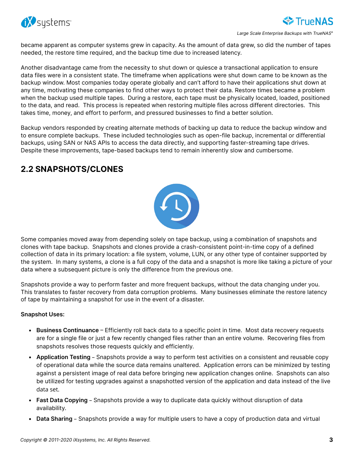<span id="page-4-0"></span>

Large Scale Enterprise Backups with TrueNAS<sup>®</sup>

became apparent as computer systems grew in capacity. As the amount of data grew, so did the number of tapes needed, the restore time required, and the backup time due to increased latency.

Another disadvantage came from the necessity to shut down or quiesce a transactional application to ensure data files were in a consistent state. The timeframe when applications were shut down came to be known as the backup window. Most companies today operate globally and can't afford to have their applications shut down at any time, motivating these companies to find other ways to protect their data. Restore times became a problem when the backup used multiple tapes. During a restore, each tape must be physically located, loaded, positioned to the data, and read. This process is repeated when restoring multiple files across different directories. This takes time, money, and effort to perform, and pressured businesses to find a better solution.

Backup vendors responded by creating alternate methods of backing up data to reduce the backup window and to ensure complete backups. These included technologies such as open-file backup, incremental or differential backups, using SAN or NAS APIs to access the data directly, and supporting faster-streaming tape drives. Despite these improvements, tape-based backups tend to remain inherently slow and cumbersome.

### 2.2 SNAPSHOTS/CLONES



Some companies moved away from depending solely on tape backup, using a combination of snapshots and clones with tape backup. Snapshots and clones provide a crash-consistent point-in-time copy of a defined collection of data in its primary location: a file system, volume, LUN, or any other type of container supported by the system. In many systems, a clone is a full copy of the data and a snapshot is more like taking a picture of your data where a subsequent picture is only the difference from the previous one.

Snapshots provide a way to perform faster and more frequent backups, without the data changing under you. This translates to faster recovery from data corruption problems. Many businesses eliminate the restore latency of tape by maintaining a snapshot for use in the event of a disaster.

#### Snapshot Uses:

- Business Continuance Efficiently roll back data to a specific point in time. Most data recovery requests are for a single file or just a few recently changed files rather than an entire volume. Recovering files from snapshots resolves those requests quickly and efficiently.
- Application Testing Snapshots provide a way to perform test activities on a consistent and reusable copy of operational data while the source data remains unaltered. Application errors can be minimized by testing against a persistent image of real data before bringing new application changes online. Snapshots can also be utilized for testing upgrades against a snapshotted version of the application and data instead of the live data set.
- Fast Data Copying Snapshots provide a way to duplicate data quickly without disruption of data availability.
- Data Sharing Snapshots provide a way for multiple users to have a copy of production data and virtual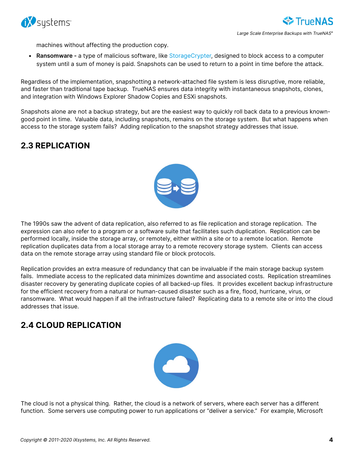<span id="page-5-0"></span>

machines without affecting the production copy.

• Ransomware - a type of malicious software, like [StorageCrypter](https://www.ixsystems.com/blog/combating-ransomware/), designed to block access to a computer system until a sum of money is paid. Snapshots can be used to return to a point in time before the attack.

Regardless of the implementation, snapshotting a network-attached file system is less disruptive, more reliable, and faster than traditional tape backup. TrueNAS ensures data integrity with instantaneous snapshots, clones, and integration with Windows Explorer Shadow Copies and ESXi snapshots.

Snapshots alone are not a backup strategy, but are the easiest way to quickly roll back data to a previous knowngood point in time. Valuable data, including snapshots, remains on the storage system. But what happens when access to the storage system fails? Adding replication to the snapshot strategy addresses that issue.

### 2.3 REPLICATION



The 1990s saw the advent of data replication, also referred to as file replication and storage replication. The expression can also refer to a program or a software suite that facilitates such duplication. Replication can be performed locally, inside the storage array, or remotely, either within a site or to a remote location. Remote replication duplicates data from a local storage array to a remote recovery storage system. Clients can access data on the remote storage array using standard file or block protocols.

Replication provides an extra measure of redundancy that can be invaluable if the main storage backup system fails. Immediate access to the replicated data minimizes downtime and associated costs. Replication streamlines disaster recovery by generating duplicate copies of all backed-up files. It provides excellent backup infrastructure for the efficient recovery from a natural or human-caused disaster such as a fire, flood, hurricane, virus, or ransomware. What would happen if all the infrastructure failed? Replicating data to a remote site or into the cloud addresses that issue.

## 2.4 CLOUD REPLICATION



The cloud is not a physical thing. Rather, the cloud is a network of servers, where each server has a different function. Some servers use computing power to run applications or "deliver a service." For example, Microsoft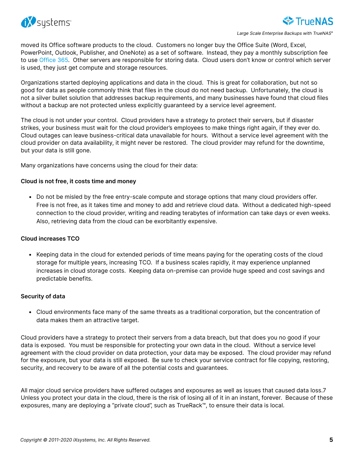

moved its Office software products to the cloud. Customers no longer buy the Office Suite (Word, Excel, PowerPoint, Outlook, Publisher, and OneNote) as a set of software. Instead, they pay a monthly subscription fee to use [Office 365.](https://products.office.com/en-US/) Other servers are responsible for storing data. Cloud users don't know or control which server is used, they just get compute and storage resources.

Organizations started deploying applications and data in the cloud. This is great for collaboration, but not so good for data as people commonly think that files in the cloud do not need backup. Unfortunately, the cloud is not a silver bullet solution that addresses backup requirements, and many businesses have found that cloud files without a backup are not protected unless explicitly guaranteed by a service level agreement.

The cloud is not under your control. Cloud providers have a strategy to protect their servers, but if disaster strikes, your business must wait for the cloud provider's employees to make things right again, if they ever do. Cloud outages can leave business-critical data unavailable for hours. Without a service level agreement with the cloud provider on data availability, it might never be restored. The cloud provider may refund for the downtime, but your data is still gone.

Many organizations have concerns using the cloud for their data:

#### Cloud is not free, it costs time and money

• Do not be misled by the free entry-scale compute and storage options that many cloud providers offer. Free is not free, as it takes time and money to add and retrieve cloud data. Without a dedicated high-speed connection to the cloud provider, writing and reading terabytes of information can take days or even weeks. Also, retrieving data from the cloud can be exorbitantly expensive.

#### Cloud increases TCO

• Keeping data in the cloud for extended periods of time means paying for the operating costs of the cloud storage for multiple years, increasing TCO. If a business scales rapidly, it may experience unplanned increases in cloud storage costs. Keeping data on-premise can provide huge speed and cost savings and predictable benefits.

#### Security of data

• Cloud environments face many of the same threats as a traditional corporation, but the concentration of data makes them an attractive target.

Cloud providers have a strategy to protect their servers from a data breach, but that does you no good if your data is exposed. You must be responsible for protecting your own data in the cloud. Without a service level agreement with the cloud provider on data protection, your data may be exposed. The cloud provider may refund for the exposure, but your data is still exposed. Be sure to check your service contract for file copying, restoring, security, and recovery to be aware of all the potential costs and guarantees.

All major cloud service providers have suffered outages and exposures as well as issues that caused data loss.7 Unless you protect your data in the cloud, there is the risk of losing all of it in an instant, forever. Because of these exposures, many are deploying a "private cloud", such as [TrueRack™,](https://www.ixsystems.com/truerack/) to ensure their data is local.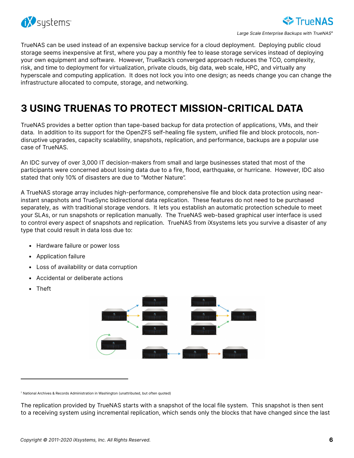<span id="page-7-0"></span>

TrueNAS can be used instead of an expensive backup service for a cloud deployment. Deploying public cloud storage seems inexpensive at first, where you pay a monthly fee to lease storage services instead of deploying your own equipment and software. However, TrueRack's converged approach reduces the TCO, complexity, risk, and time to deployment for virtualization, private clouds, big data, web scale, HPC, and virtually any hyperscale and computing application. It does not lock you into one design; as needs change you can change the infrastructure allocated to compute, storage, and networking.

# 3 USING TRUENAS TO PROTECT MISSION-CRITICAL DATA

TrueNAS provides a better option than tape-based backup for data protection of applications, VMs, and their data. In addition to its support for the OpenZFS self-healing file system, unified file and block protocols, nondisruptive upgrades, capacity scalability, snapshots, replication, and performance, backups are a popular use case of TrueNAS.

An IDC survey of over 3,000 IT decision-makers from small and large businesses stated that most of the participants were concerned about losing data due to a fire, flood, earthquake, or hurricane. However, IDC also stated that only 10% of disasters are due to "Mother Nature".

A TrueNAS storage array includes high-performance, comprehensive file and block data protection using nearinstant snapshots and TrueSync bidirectional data replication. These features do not need to be purchased separately, as with traditional storage vendors. It lets you establish an automatic protection schedule to meet your SLAs, or run snapshots or replication manually. The TrueNAS web-based graphical user interface is used to control every aspect of snapshots and replication. TrueNAS from iXsystems lets you survive a disaster of any type that could result in data loss due to:

- Hardware failure or power loss
- Application failure
- Loss of availability or data corruption
- Accidental or deliberate actions
- Theft



<sup>7</sup> National Archives & Records Administration in Washington (unattributed, but often quoted)

The replication provided by TrueNAS starts with a snapshot of the local file system. This snapshot is then sent to a receiving system using incremental replication, which sends only the blocks that have changed since the last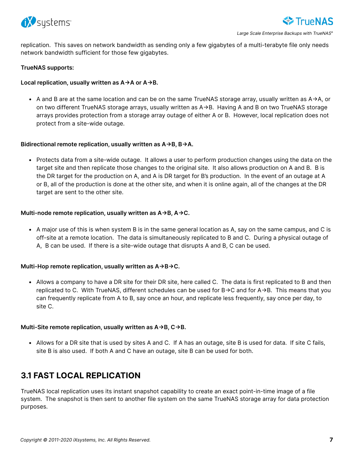<span id="page-8-0"></span>

Large Scale Enterprise Backups with TrueNAS<sup>®</sup>

replication. This saves on network bandwidth as sending only a few gigabytes of a multi-terabyte file only needs network bandwidth sufficient for those few gigabytes.

#### TrueNAS supports:

#### Local replication, usually written as  $A \rightarrow A$  or  $A \rightarrow B$ .

• A and B are at the same location and can be on the same TrueNAS storage array, usually written as  $A \rightarrow A$ , or on two different TrueNAS storage arrays, usually written as A > B. Having A and B on two TrueNAS storage arrays provides protection from a storage array outage of either A or B. However, local replication does not protect from a site-wide outage.

#### Bidirectional remote replication, usually written as  $A \rightarrow B$ ,  $B \rightarrow A$ .

• Protects data from a site-wide outage. It allows a user to perform production changes using the data on the target site and then replicate those changes to the original site. It also allows production on A and B. B is the DR target for the production on A, and A is DR target for B's production. In the event of an outage at A or B, all of the production is done at the other site, and when it is online again, all of the changes at the DR target are sent to the other site.

#### Multi-node remote replication, usually written as  $A \rightarrow B$ ,  $A \rightarrow C$ .

• A major use of this is when system B is in the same general location as A, say on the same campus, and C is off-site at a remote location. The data is simultaneously replicated to B and C. During a physical outage of A, B can be used. If there is a site-wide outage that disrupts A and B, C can be used.

#### Multi-Hop remote replication, usually written as  $A \rightarrow B \rightarrow C$ .

• Allows a company to have a DR site for their DR site, here called C. The data is first replicated to B and then replicated to C. With TrueNAS, different schedules can be used for  $B\rightarrow C$  and for  $A\rightarrow B$ . This means that you can frequently replicate from A to B, say once an hour, and replicate less frequently, say once per day, to site C.

#### Multi-Site remote replication, usually written as  $A \rightarrow B$ ,  $C \rightarrow B$ .

• Allows for a DR site that is used by sites A and C. If A has an outage, site B is used for data. If site C fails, site B is also used. If both A and C have an outage, site B can be used for both.

### 3.1 FAST LOCAL REPLICATION

TrueNAS local replication uses its instant snapshot capability to create an exact point-in-time image of a file system. The snapshot is then sent to another file system on the same TrueNAS storage array for data protection purposes.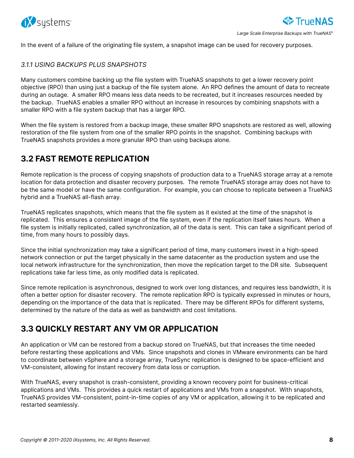<span id="page-9-0"></span>

In the event of a failure of the originating file system, a snapshot image can be used for recovery purposes.

#### 3.1.1 USING BACKUPS PLUS SNAPSHOTS

Many customers combine backing up the file system with TrueNAS snapshots to get a lower recovery point objective (RPO) than using just a backup of the file system alone. An RPO defines the amount of data to recreate during an outage. A smaller RPO means less data needs to be recreated, but it increases resources needed by the backup. TrueNAS enables a smaller RPO without an increase in resources by combining snapshots with a smaller RPO with a file system backup that has a larger RPO.

When the file system is restored from a backup image, these smaller RPO snapshots are restored as well, allowing restoration of the file system from one of the smaller RPO points in the snapshot. Combining backups with TrueNAS snapshots provides a more granular RPO than using backups alone.

### 3.2 FAST REMOTE REPLICATION

Remote replication is the process of copying snapshots of production data to a TrueNAS storage array at a remote location for data protection and disaster recovery purposes. The remote TrueNAS storage array does not have to be the same model or have the same configuration. For example, you can choose to replicate between a TrueNAS hybrid and a TrueNAS all-flash array.

TrueNAS replicates snapshots, which means that the file system as it existed at the time of the snapshot is replicated. This ensures a consistent image of the file system, even if the replication itself takes hours. When a file system is initially replicated, called synchronization, all of the data is sent. This can take a significant period of time, from many hours to possibly days.

Since the initial synchronization may take a significant period of time, many customers invest in a high-speed network connection or put the target physically in the same datacenter as the production system and use the local network infrastructure for the synchronization, then move the replication target to the DR site. Subsequent replications take far less time, as only modified data is replicated.

Since remote replication is asynchronous, designed to work over long distances, and requires less bandwidth, it is often a better option for disaster recovery. The remote replication RPO is typically expressed in minutes or hours, depending on the importance of the data that is replicated. There may be different RPOs for different systems, determined by the nature of the data as well as bandwidth and cost limitations.

### 3.3 QUICKLY RESTART ANY VM OR APPLICATION

An application or VM can be restored from a backup stored on TrueNAS, but that increases the time needed before restarting these applications and VMs. Since snapshots and clones in VMware environments can be hard to coordinate between vSphere and a storage array, TrueSync replication is designed to be space-efficient and VM-consistent, allowing for instant recovery from data loss or corruption.

With TrueNAS, every snapshot is crash-consistent, providing a known recovery point for business-critical applications and VMs. This provides a quick restart of applications and VMs from a snapshot. With snapshots, TrueNAS provides VM-consistent, point-in-time copies of any VM or application, allowing it to be replicated and restarted seamlessly.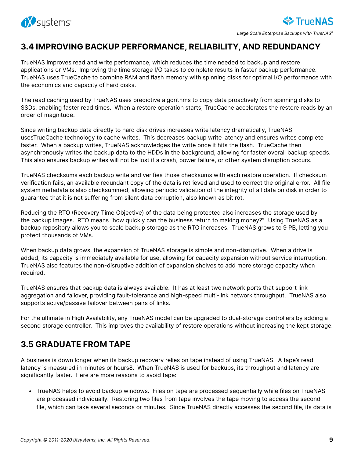<span id="page-10-0"></span>

### 3.4 IMPROVING BACKUP PERFORMANCE, RELIABILITY, AND REDUNDANCY

TrueNAS improves read and write performance, which reduces the time needed to backup and restore applications or VMs. Improving the time storage I/O takes to complete results in faster backup performance. TrueNAS uses TrueCache to combine RAM and flash memory with spinning disks for optimal I/O performance with the economics and capacity of hard disks.

The read caching used by TrueNAS uses predictive algorithms to copy data proactively from spinning disks to SSDs, enabling faster read times. When a restore operation starts, TrueCache accelerates the restore reads by an order of magnitude.

Since writing backup data directly to hard disk drives increases write latency dramatically, TrueNAS usesTrueCache technology to cache writes. This decreases backup write latency and ensures writes complete faster. When a backup writes, TrueNAS acknowledges the write once it hits the flash. TrueCache then asynchronously writes the backup data to the HDDs in the background, allowing for faster overall backup speeds. This also ensures backup writes will not be lost if a crash, power failure, or other system disruption occurs.

TrueNAS checksums each backup write and verifies those checksums with each restore operation. If checksum verification fails, an available redundant copy of the data is retrieved and used to correct the original error. All file system metadata is also checksummed, allowing periodic validation of the integrity of all data on disk in order to guarantee that it is not suffering from silent data corruption, also known as bit rot.

Reducing the RTO (Recovery Time Objective) of the data being protected also increases the storage used by the backup images. RTO means "how quickly can the business return to making money?". Using TrueNAS as a backup repository allows you to scale backup storage as the RTO increases. TrueNAS grows to 9 PB, letting you protect thousands of VMs.

When backup data grows, the expansion of TrueNAS storage is simple and non-disruptive. When a drive is added, its capacity is immediately available for use, allowing for capacity expansion without service interruption. TrueNAS also features the non-disruptive addition of expansion shelves to add more storage capacity when required.

TrueNAS ensures that backup data is always available. It has at least two network ports that support link aggregation and failover, providing fault-tolerance and high-speed multi-link network throughput. TrueNAS also supports active/passive failover between pairs of links.

For the ultimate in High Availability, any TrueNAS model can be upgraded to dual-storage controllers by adding a second storage controller. This improves the availability of restore operations without increasing the kept storage.

### 3.5 GRADUATE FROM TAPE

A business is down longer when its backup recovery relies on tape instead of using TrueNAS. A tape's read latency is measured in minutes or hours8. When TrueNAS is used for backups, its throughput and latency are significantly faster. Here are more reasons to avoid tape:

• TrueNAS helps to avoid backup windows. Files on tape are processed sequentially while files on TrueNAS are processed individually. Restoring two files from tape involves the tape moving to access the second file, which can take several seconds or minutes. Since TrueNAS directly accesses the second file, its data is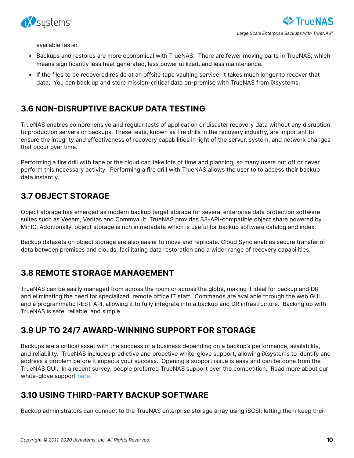<span id="page-11-0"></span>

available faster.

- Backups and restores are more economical with TrueNAS. There are fewer moving parts in TrueNAS, which means significantly less heat generated, less power utilized, and less maintenance.
- If the files to be recovered reside at an offsite tape vaulting service, it takes much longer to recover that data. You can back up and store mission-critical data on-premise with TrueNAS from iXsystems.

### 3.6 NON-DISRUPTIVE BACKUP DATA TESTING

TrueNAS enables comprehensive and regular tests of application or disaster recovery data without any disruption to production servers or backups. These tests, known as fire drills in the recovery industry, are important to ensure the integrity and effectiveness of recovery capabilities in light of the server, system, and network changes that occur over time.

Performing a fire drill with tape or the cloud can take lots of time and planning, so many users put off or never perform this necessary activity. Performing a fire drill with TrueNAS allows the user to to access their backup data instantly.

### 3.7 OBJECT STORAGE

Object storage has emerged as modern backup target storage for several enterprise data protection software suites such as Veeam, Veritas and Commvault. TrueNAS provides S3-API-compatible object share powered by MinIO. Additionally, object storage is rich in metadata which is useful for backup software catalog and index.

Backup datasets on object storage are also easier to move and replicate. Cloud Sync enables secure transfer of data between premises and clouds, facilitating data restoration and a wider range of recovery capabilities.

### 3.8 REMOTE STORAGE MANAGEMENT

TrueNAS can be easily managed from across the room or across the globe, making it ideal for backup and DR and eliminating the need for specialized, remote office IT staff. Commands are available through the web GUI and a programmatic REST API, allowing it to fully integrate into a backup and DR infrastructure. Backing up with TrueNAS is safe, reliable, and simple.

### 3.9 UP TO 24/7 AWARD-WINNING SUPPORT FOR STORAGE

Backups are a critical asset with the success of a business depending on a backup's performance, availability, and reliability. TrueNAS includes predictive and proactive white-glove support, allowing iXsystems to identify and address a problem before it impacts your success. Opening a support issue is easy and can be done from the TrueNAS GUI. In a recent survey, people preferred TrueNAS support over the competition. Read more about our white-glove support [here](https://www.ixsystems.com/blog/wish-everyone-knew-ixsystems-white-glove-support/).

### 3.10 USING THIRD-PARTY BACKUP SOFTWARE

Backup administrators can connect to the TrueNAS enterprise storage array using iSCSI, letting them keep their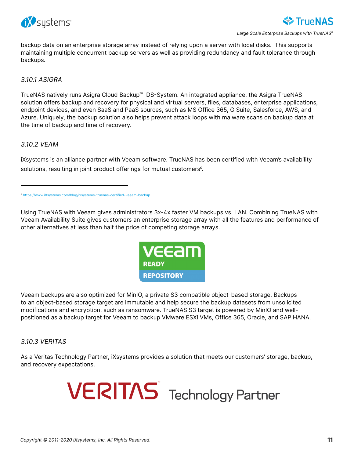



backup data on an enterprise storage array instead of relying upon a server with local disks. This supports maintaining multiple concurrent backup servers as well as providing redundancy and fault tolerance through backups.

3.10.1 ASIGRA

TrueNAS natively runs Asigra Cloud Backup™ DS-System. An integrated appliance, the Asigra TrueNAS solution offers backup and recovery for physical and virtual servers, files, databases, enterprise applications, endpoint devices, and even SaaS and PaaS sources, such as MS Office 365, G Suite, Salesforce, AWS, and Azure. Uniquely, the backup solution also helps prevent attack loops with malware scans on backup data at the time of backup and time of recovery.

#### 3.10.2 VEAM

iXsystems is an alliance partner with Veeam software. TrueNAS has been certified with Veeam's availability solutions, resulting in joint product offerings for mutual customers<sup>9</sup>.

Using TrueNAS with Veeam gives administrators 3x-4x faster VM backups vs. LAN. Combining TrueNAS with Veeam Availability Suite gives customers an enterprise storage array with all the features and performance of other alternatives at less than half the price of competing storage arrays.



Veeam backups are also optimized for MinIO, a private S3 compatible object-based storage. Backups to an object-based storage target are immutable and help secure the backup datasets from unsolicited modifications and encryption, such as ransomware. TrueNAS S3 target is powered by MinIO and wellpositioned as a backup target for Veeam to backup VMware ESXi VMs, Office 365, Oracle, and SAP HANA.

3.10.3 VERITAS

As a Veritas Technology Partner, iXsystems provides a solution that meets our customers' storage, backup, and recovery expectations.



<sup>&</sup>lt;sup>9</sup> [https://www.iXsystems.com/blog/ixsystems-truenas-certified-veeam-backup](https://www.ixsystems.com/blog/ixsystems-truenas-certified-veeam-backup/)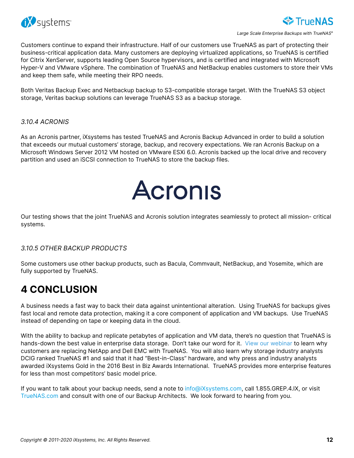<span id="page-13-0"></span>

Customers continue to expand their infrastructure. Half of our customers use TrueNAS as part of protecting their business-critical application data. Many customers are deploying virtualized applications, so TrueNAS is certified for Citrix XenServer, supports leading Open Source hypervisors, and is certified and integrated with Microsoft Hyper-V and VMware vSphere. The combination of TrueNAS and NetBackup enables customers to store their VMs and keep them safe, while meeting their RPO needs.

Both Veritas Backup Exec and Netbackup backup to S3-compatible storage target. With the TrueNAS S3 object storage, Veritas backup solutions can leverage TrueNAS S3 as a backup storage.

#### 3.10.4 ACRONIS

As an Acronis partner, iXsystems has tested TrueNAS and Acronis Backup Advanced in order to build a solution that exceeds our mutual customers' storage, backup, and recovery expectations. We ran Acronis Backup on a Microsoft Windows Server 2012 VM hosted on VMware ESXi 6.0. Acronis backed up the local drive and recovery partition and used an iSCSI connection to TrueNAS to store the backup files.



Our testing shows that the joint TrueNAS and Acronis solution integrates seamlessly to protect all mission- critical systems.

#### 3.10.5 OTHER BACKUP PRODUCTS

Some customers use other backup products, such as Bacula, Commvault, NetBackup, and Yosemite, which are fully supported by TrueNAS.

## 4 CONCLUSION

A business needs a fast way to back their data against unintentional alteration. Using TrueNAS for backups gives fast local and remote data protection, making it a core component of application and VM backups. Use TrueNAS instead of depending on tape or keeping data in the cloud.

With the ability to backup and replicate petabytes of application and VM data, there's no question that TrueNAS is hands-down the best value in enterprise data storage. Don't take our word for it. [View our webinar](http://www.onlinemeetingnow.com/register/?id=uegudsbc75) to learn why customers are replacing NetApp and Dell EMC with TrueNAS. You will also learn why storage industry analysts DCIG ranked TrueNAS #1 and said that it had "Best-in-Class" hardware, and why press and industry analysts awarded iXsystems Gold in the 2016 Best in Biz Awards International. TrueNAS provides more enterprise features for less than most competitors' basic model price.

If you want to talk about your backup needs, send a note to [info@iXsystems.com](mailto:info%40iXsystems.com?subject=), call 1.855.GREP.4.IX, or visit TrueNAS.com and consult with one of our Backup Architects. We look forward to hearing from you.